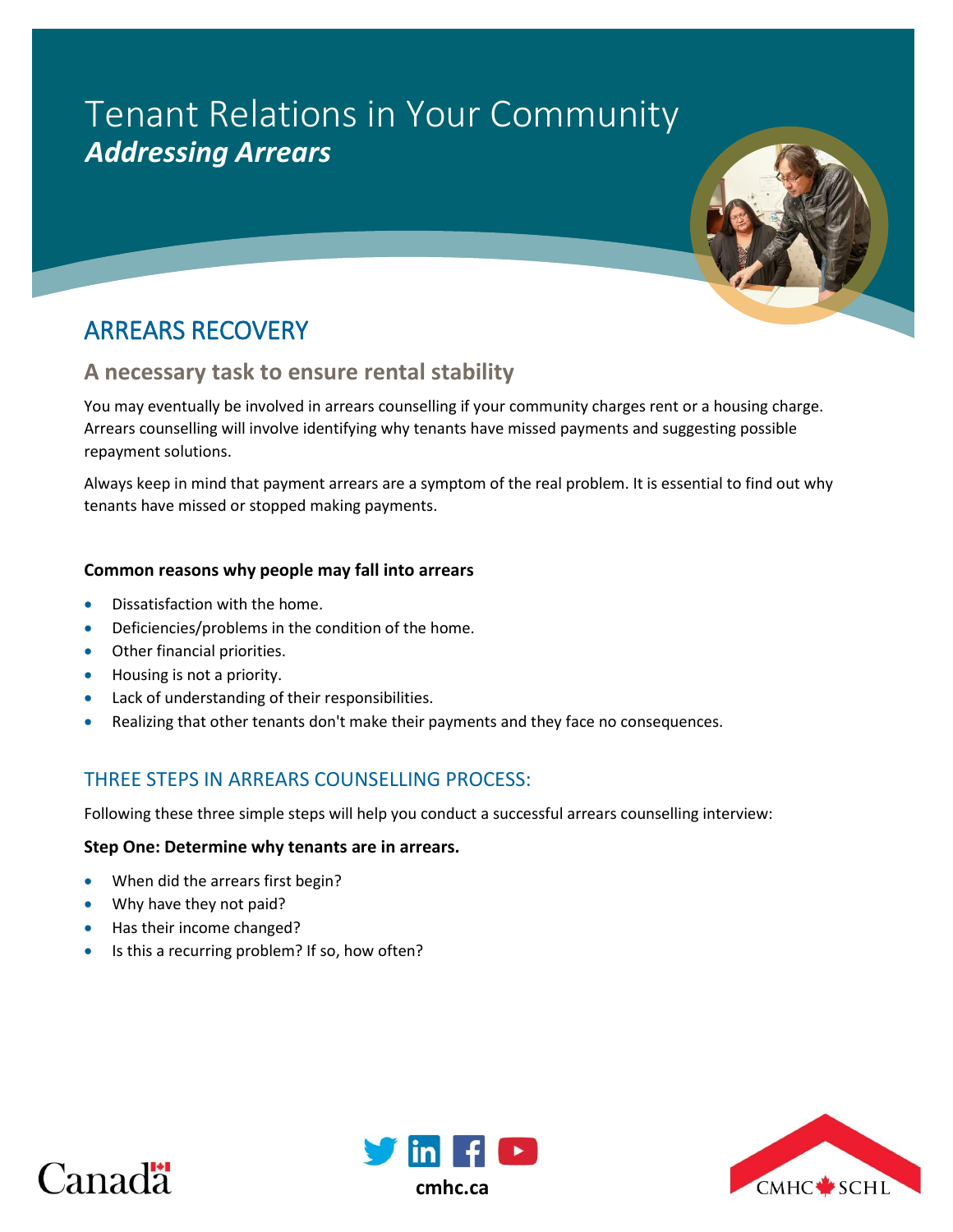# Tenant Relations in Your Community *Addressing Arrears*



# **A necessary task to ensure rental stability**

You may eventually be involved in arrears counselling if your community charges rent or a housing charge. Arrears counselling will involve identifying why tenants have missed payments and suggesting possible repayment solutions.

Always keep in mind that payment arrears are a symptom of the real problem. It is essential to find out why tenants have missed or stopped making payments.

# **Common reasons why people may fall into arrears**

- Dissatisfaction with the home.
- Deficiencies/problems in the condition of the home.
- Other financial priorities.
- Housing is not a priority.
- Lack of understanding of their responsibilities.
- Realizing that other tenants don't make their payments and they face no consequences.

# THREE STEPS IN ARREARS COUNSELLING PROCESS:

Following these three simple steps will help you conduct a successful arrears counselling interview:

# **Step One: Determine why tenants are in arrears.**

- When did the arrears first begin?
- Why have they not paid?
- Has their income changed?
- Is this a recurring problem? If so, how often?





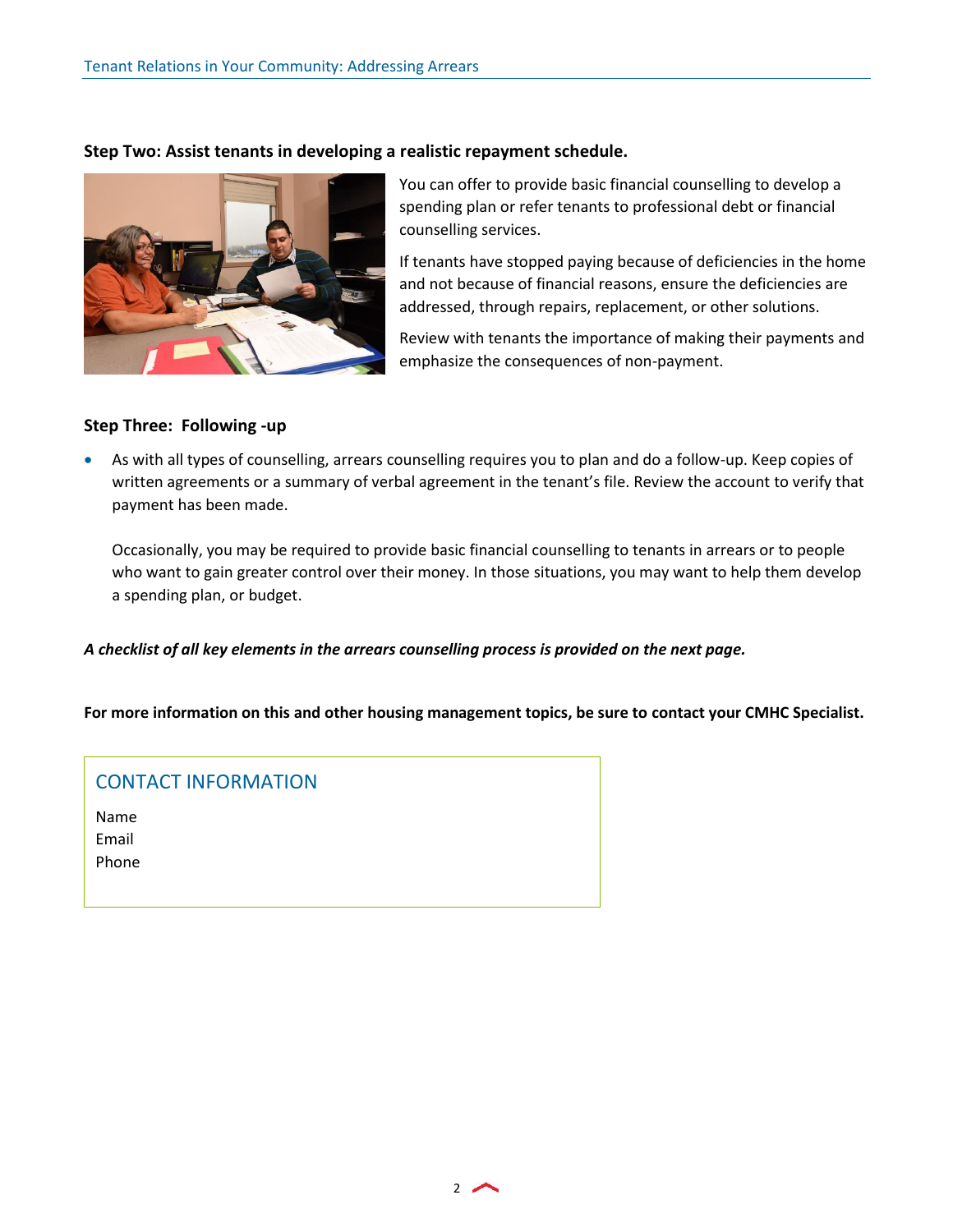**Step Two: Assist tenants in developing a realistic repayment schedule.**

You can offer to provide basic financial counselling to develop a spending plan or refer tenants to professional debt or financial counselling services.

If tenants have stopped paying because of deficiencies in the home and not because of financial reasons, ensure the deficiencies are addressed, through repairs, replacement, or other solutions.

Review with tenants the importance of making their payments and emphasize the consequences of non-payment.

# **Step Three: Following -up**

 As with all types of counselling, arrears counselling requires you to plan and do a follow-up. Keep copies of written agreements or a summary of verbal agreement in the tenant's file. Review the account to verify that payment has been made.

Occasionally, you may be required to provide basic financial counselling to tenants in arrears or to people who want to gain greater control over their money. In those situations, you may want to help them develop a spending plan, or budget.

*A checklist of all key elements in the arrears counselling process is provided on the next page.* 

**For more information on this and other housing management topics, be sure to contact your CMHC Specialist.** 

# CONTACT INFORMATION

Name Email Phone

 $2$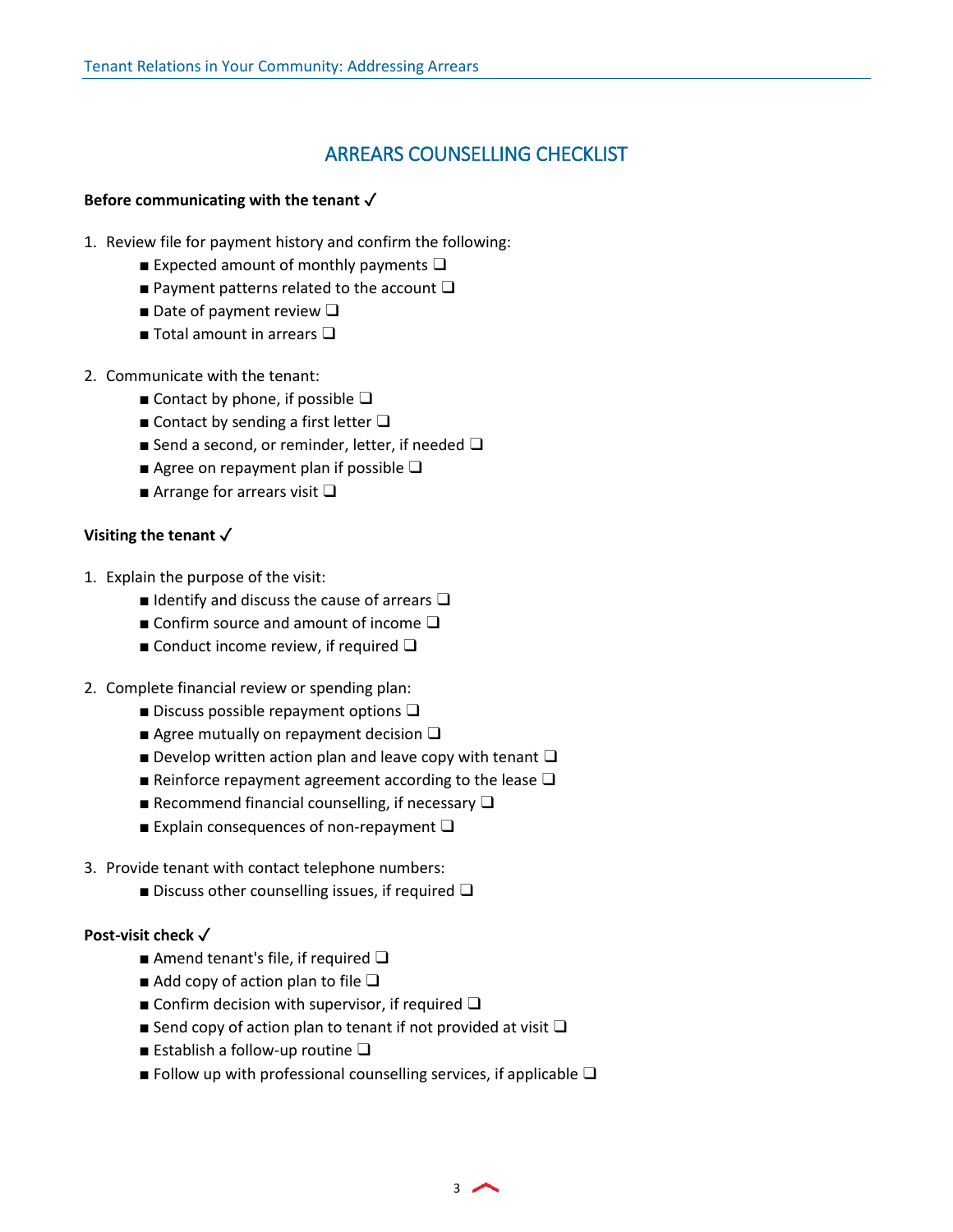# ARREARS COUNSELLING CHECKLIST

#### **Before communicating with the tenant** ✓

- 1. Review file for payment history and confirm the following:
	- **Expected amount of monthly payments**  $\Box$
	- Payment patterns related to the account  $\Box$
	- Date of payment review  $\Box$
	- Total amount in arrears □
- 2. Communicate with the tenant:
	- Contact by phone, if possible  $\Box$
	- Contact by sending a first letter  $\Box$
	- Send a second, or reminder, letter, if needed □
	- Agree on repayment plan if possible □
	- Arrange for arrears visit  $\Box$

# **Visiting the tenant** ✓

- 1. Explain the purpose of the visit:
	- $\blacksquare$  Identify and discuss the cause of arrears  $\square$
	- Confirm source and amount of income  $\Box$
	- Conduct income review, if required  $\Box$
- 2. Complete financial review or spending plan:
	- **Discuss possible repayment options**  $\Box$
	- **Agree mutually on repayment decision**  $\Box$
	- **■** Develop written action plan and leave copy with tenant  $\Box$
	- **■** Reinforce repayment agreement according to the lease  $\Box$
	- **Recommend financial counselling, if necessary**  $\Box$
	- **■** Explain consequences of non-repayment  $\Box$
- 3. Provide tenant with contact telephone numbers:
	- Discuss other counselling issues, if required  $\Box$

#### **Post-visit check √**

- Amend tenant's file, if required □
- $\blacksquare$  Add copy of action plan to file  $\square$
- Confirm decision with supervisor, if required  $\Box$
- Send copy of action plan to tenant if not provided at visit  $\Box$
- Establish a follow-up routine □
- Follow up with professional counselling services, if applicable  $\Box$

3